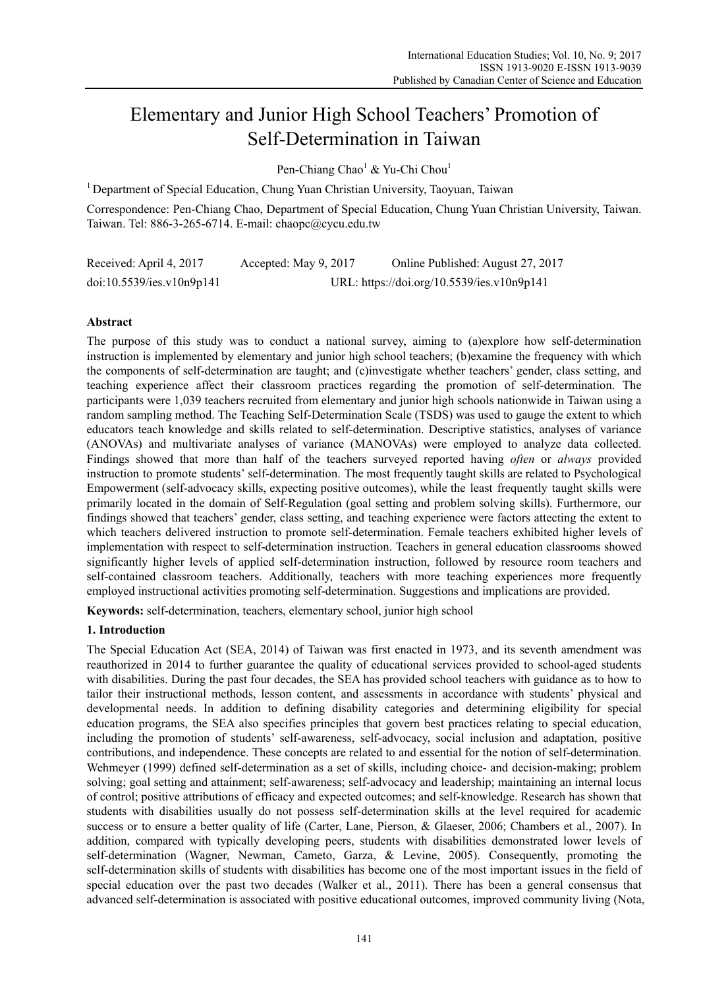# Elementary and Junior High School Teachers' Promotion of Self-Determination in Taiwan

Pen-Chiang Chao<sup>1</sup> & Yu-Chi Chou<sup>1</sup>

<sup>1</sup> Department of Special Education, Chung Yuan Christian University, Taoyuan, Taiwan

Correspondence: Pen-Chiang Chao, Department of Special Education, Chung Yuan Christian University, Taiwan. Taiwan. Tel: 886-3-265-6714. E-mail: chaopc@cycu.edu.tw

| Received: April 4, 2017   | Accepted: May 9, 2017 | Online Published: August 27, 2017          |
|---------------------------|-----------------------|--------------------------------------------|
| doi:10.5539/ies.v10n9p141 |                       | URL: https://doi.org/10.5539/ies.v10n9p141 |

## **Abstract**

The purpose of this study was to conduct a national survey, aiming to (a)explore how self-determination instruction is implemented by elementary and junior high school teachers; (b)examine the frequency with which the components of self-determination are taught; and (c)investigate whether teachers' gender, class setting, and teaching experience affect their classroom practices regarding the promotion of self-determination. The participants were 1,039 teachers recruited from elementary and junior high schools nationwide in Taiwan using a random sampling method. The Teaching Self-Determination Scale (TSDS) was used to gauge the extent to which educators teach knowledge and skills related to self-determination. Descriptive statistics, analyses of variance (ANOVAs) and multivariate analyses of variance (MANOVAs) were employed to analyze data collected. Findings showed that more than half of the teachers surveyed reported having *often* or *always* provided instruction to promote students' self-determination. The most frequently taught skills are related to Psychological Empowerment (self-advocacy skills, expecting positive outcomes), while the least frequently taught skills were primarily located in the domain of Self-Regulation (goal setting and problem solving skills). Furthermore, our findings showed that teachers' gender, class setting, and teaching experience were factors attecting the extent to which teachers delivered instruction to promote self-determination. Female teachers exhibited higher levels of implementation with respect to self-determination instruction. Teachers in general education classrooms showed significantly higher levels of applied self-determination instruction, followed by resource room teachers and self-contained classroom teachers. Additionally, teachers with more teaching experiences more frequently employed instructional activities promoting self-determination. Suggestions and implications are provided.

**Keywords:** self-determination, teachers, elementary school, junior high school

## **1. Introduction**

The Special Education Act (SEA, 2014) of Taiwan was first enacted in 1973, and its seventh amendment was reauthorized in 2014 to further guarantee the quality of educational services provided to school-aged students with disabilities. During the past four decades, the SEA has provided school teachers with guidance as to how to tailor their instructional methods, lesson content, and assessments in accordance with students' physical and developmental needs. In addition to defining disability categories and determining eligibility for special education programs, the SEA also specifies principles that govern best practices relating to special education, including the promotion of students' self-awareness, self-advocacy, social inclusion and adaptation, positive contributions, and independence. These concepts are related to and essential for the notion of self-determination. Wehmeyer (1999) defined self-determination as a set of skills, including choice- and decision-making; problem solving; goal setting and attainment; self-awareness; self-advocacy and leadership; maintaining an internal locus of control; positive attributions of efficacy and expected outcomes; and self-knowledge. Research has shown that students with disabilities usually do not possess self-determination skills at the level required for academic success or to ensure a better quality of life (Carter, Lane, Pierson, & Glaeser, 2006; Chambers et al., 2007). In addition, compared with typically developing peers, students with disabilities demonstrated lower levels of self-determination (Wagner, Newman, Cameto, Garza, & Levine, 2005). Consequently, promoting the self-determination skills of students with disabilities has become one of the most important issues in the field of special education over the past two decades (Walker et al., 2011). There has been a general consensus that advanced self-determination is associated with positive educational outcomes, improved community living (Nota,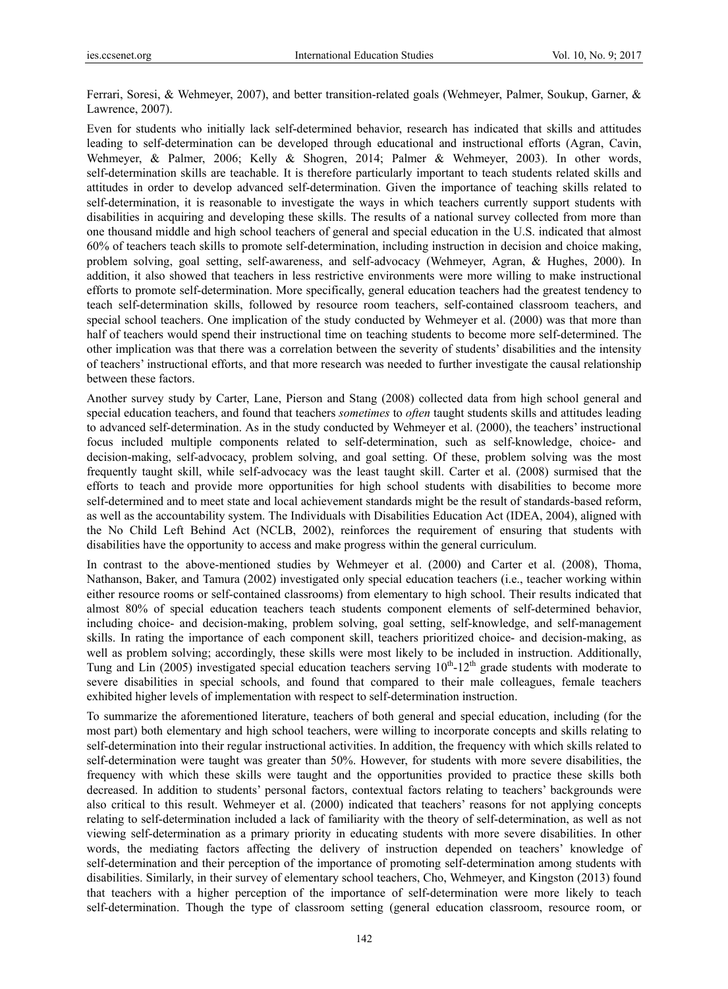Ferrari, Soresi, & Wehmeyer, 2007), and better transition-related goals (Wehmeyer, Palmer, Soukup, Garner, & Lawrence, 2007).

Even for students who initially lack self-determined behavior, research has indicated that skills and attitudes leading to self-determination can be developed through educational and instructional efforts (Agran, Cavin, Wehmeyer, & Palmer, 2006; Kelly & Shogren, 2014; Palmer & Wehmeyer, 2003). In other words, self-determination skills are teachable. It is therefore particularly important to teach students related skills and attitudes in order to develop advanced self-determination. Given the importance of teaching skills related to self-determination, it is reasonable to investigate the ways in which teachers currently support students with disabilities in acquiring and developing these skills. The results of a national survey collected from more than one thousand middle and high school teachers of general and special education in the U.S. indicated that almost 60% of teachers teach skills to promote self-determination, including instruction in decision and choice making, problem solving, goal setting, self-awareness, and self-advocacy (Wehmeyer, Agran, & Hughes, 2000). In addition, it also showed that teachers in less restrictive environments were more willing to make instructional efforts to promote self-determination. More specifically, general education teachers had the greatest tendency to teach self-determination skills, followed by resource room teachers, self-contained classroom teachers, and special school teachers. One implication of the study conducted by Wehmeyer et al. (2000) was that more than half of teachers would spend their instructional time on teaching students to become more self-determined. The other implication was that there was a correlation between the severity of students' disabilities and the intensity of teachers' instructional efforts, and that more research was needed to further investigate the causal relationship between these factors.

Another survey study by Carter, Lane, Pierson and Stang (2008) collected data from high school general and special education teachers, and found that teachers *sometimes* to *often* taught students skills and attitudes leading to advanced self-determination. As in the study conducted by Wehmeyer et al. (2000), the teachers' instructional focus included multiple components related to self-determination, such as self-knowledge, choice- and decision-making, self-advocacy, problem solving, and goal setting. Of these, problem solving was the most frequently taught skill, while self-advocacy was the least taught skill. Carter et al. (2008) surmised that the efforts to teach and provide more opportunities for high school students with disabilities to become more self-determined and to meet state and local achievement standards might be the result of standards-based reform, as well as the accountability system. The Individuals with Disabilities Education Act (IDEA, 2004), aligned with the No Child Left Behind Act (NCLB, 2002), reinforces the requirement of ensuring that students with disabilities have the opportunity to access and make progress within the general curriculum.

In contrast to the above-mentioned studies by Wehmeyer et al. (2000) and Carter et al. (2008), Thoma, Nathanson, Baker, and Tamura (2002) investigated only special education teachers (i.e., teacher working within either resource rooms or self-contained classrooms) from elementary to high school. Their results indicated that almost 80% of special education teachers teach students component elements of self-determined behavior, including choice- and decision-making, problem solving, goal setting, self-knowledge, and self-management skills. In rating the importance of each component skill, teachers prioritized choice- and decision-making, as well as problem solving; accordingly, these skills were most likely to be included in instruction. Additionally, Tung and Lin (2005) investigated special education teachers serving  $10^{th}$ -12<sup>th</sup> grade students with moderate to severe disabilities in special schools, and found that compared to their male colleagues, female teachers exhibited higher levels of implementation with respect to self-determination instruction.

To summarize the aforementioned literature, teachers of both general and special education, including (for the most part) both elementary and high school teachers, were willing to incorporate concepts and skills relating to self-determination into their regular instructional activities. In addition, the frequency with which skills related to self-determination were taught was greater than 50%. However, for students with more severe disabilities, the frequency with which these skills were taught and the opportunities provided to practice these skills both decreased. In addition to students' personal factors, contextual factors relating to teachers' backgrounds were also critical to this result. Wehmeyer et al. (2000) indicated that teachers' reasons for not applying concepts relating to self-determination included a lack of familiarity with the theory of self-determination, as well as not viewing self-determination as a primary priority in educating students with more severe disabilities. In other words, the mediating factors affecting the delivery of instruction depended on teachers' knowledge of self-determination and their perception of the importance of promoting self-determination among students with disabilities. Similarly, in their survey of elementary school teachers, Cho, Wehmeyer, and Kingston (2013) found that teachers with a higher perception of the importance of self-determination were more likely to teach self-determination. Though the type of classroom setting (general education classroom, resource room, or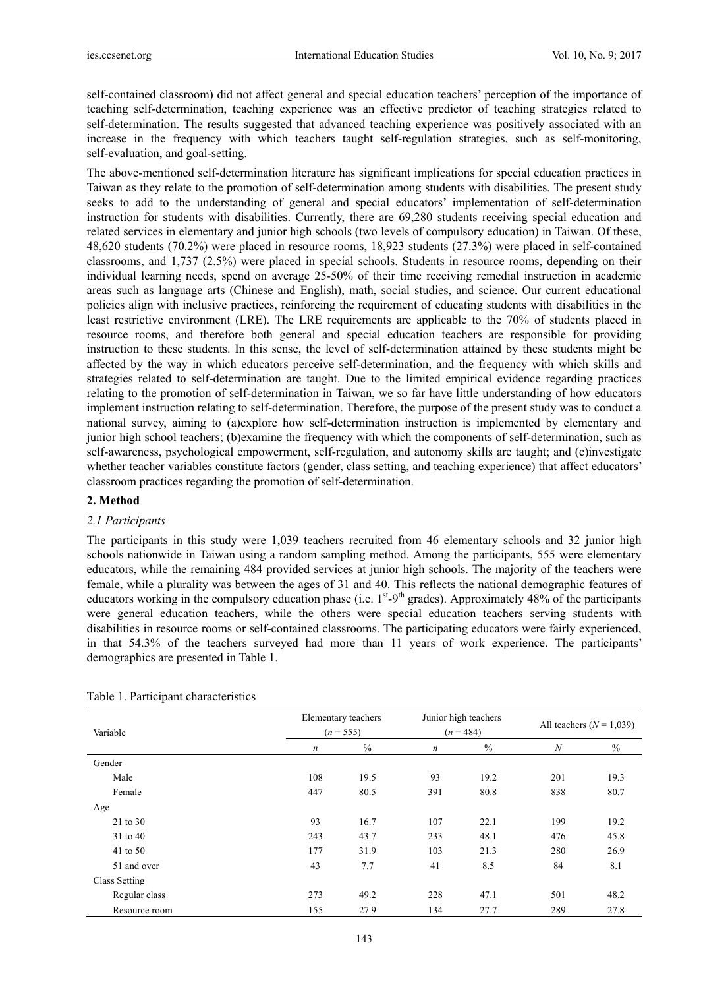self-contained classroom) did not affect general and special education teachers' perception of the importance of teaching self-determination, teaching experience was an effective predictor of teaching strategies related to self-determination. The results suggested that advanced teaching experience was positively associated with an increase in the frequency with which teachers taught self-regulation strategies, such as self-monitoring, self-evaluation, and goal-setting.

The above-mentioned self-determination literature has significant implications for special education practices in Taiwan as they relate to the promotion of self-determination among students with disabilities. The present study seeks to add to the understanding of general and special educators' implementation of self-determination instruction for students with disabilities. Currently, there are 69,280 students receiving special education and related services in elementary and junior high schools (two levels of compulsory education) in Taiwan. Of these, 48,620 students (70.2%) were placed in resource rooms, 18,923 students (27.3%) were placed in self-contained classrooms, and 1,737 (2.5%) were placed in special schools. Students in resource rooms, depending on their individual learning needs, spend on average 25-50% of their time receiving remedial instruction in academic areas such as language arts (Chinese and English), math, social studies, and science. Our current educational policies align with inclusive practices, reinforcing the requirement of educating students with disabilities in the least restrictive environment (LRE). The LRE requirements are applicable to the 70% of students placed in resource rooms, and therefore both general and special education teachers are responsible for providing instruction to these students. In this sense, the level of self-determination attained by these students might be affected by the way in which educators perceive self-determination, and the frequency with which skills and strategies related to self-determination are taught. Due to the limited empirical evidence regarding practices relating to the promotion of self-determination in Taiwan, we so far have little understanding of how educators implement instruction relating to self-determination. Therefore, the purpose of the present study was to conduct a national survey, aiming to (a)explore how self-determination instruction is implemented by elementary and junior high school teachers; (b)examine the frequency with which the components of self-determination, such as self-awareness, psychological empowerment, self-regulation, and autonomy skills are taught; and (c)investigate whether teacher variables constitute factors (gender, class setting, and teaching experience) that affect educators' classroom practices regarding the promotion of self-determination.

#### **2. Method**

#### *2.1 Participants*

The participants in this study were 1,039 teachers recruited from 46 elementary schools and 32 junior high schools nationwide in Taiwan using a random sampling method. Among the participants, 555 were elementary educators, while the remaining 484 provided services at junior high schools. The majority of the teachers were female, while a plurality was between the ages of 31 and 40. This reflects the national demographic features of educators working in the compulsory education phase (i.e.  $1^{st}$ -9<sup>th</sup> grades). Approximately 48% of the participants were general education teachers, while the others were special education teachers serving students with disabilities in resource rooms or self-contained classrooms. The participating educators were fairly experienced, in that 54.3% of the teachers surveyed had more than 11 years of work experience. The participants' demographics are presented in Table 1.

| Variable      | Elementary teachers<br>$(n = 555)$ |      | Junior high teachers<br>$(n = 484)$ | All teachers $(N = 1,039)$ |                  |      |
|---------------|------------------------------------|------|-------------------------------------|----------------------------|------------------|------|
|               | $\boldsymbol{n}$                   | $\%$ | $\boldsymbol{n}$                    | $\%$                       | $\boldsymbol{N}$ | $\%$ |
| Gender        |                                    |      |                                     |                            |                  |      |
| Male          | 108                                | 19.5 | 93                                  | 19.2                       | 201              | 19.3 |
| Female        | 447                                | 80.5 | 391                                 | 80.8                       | 838              | 80.7 |
| Age           |                                    |      |                                     |                            |                  |      |
| 21 to 30      | 93                                 | 16.7 | 107                                 | 22.1                       | 199              | 19.2 |
| 31 to 40      | 243                                | 43.7 | 233                                 | 48.1                       | 476              | 45.8 |
| 41 to 50      | 177                                | 31.9 | 103                                 | 21.3                       | 280              | 26.9 |
| 51 and over   | 43                                 | 7.7  | 41                                  | 8.5                        | 84               | 8.1  |
| Class Setting |                                    |      |                                     |                            |                  |      |
| Regular class | 273                                | 49.2 | 228                                 | 47.1                       | 501              | 48.2 |
| Resource room | 155                                | 27.9 | 134                                 | 27.7                       | 289              | 27.8 |

Table 1. Participant characteristics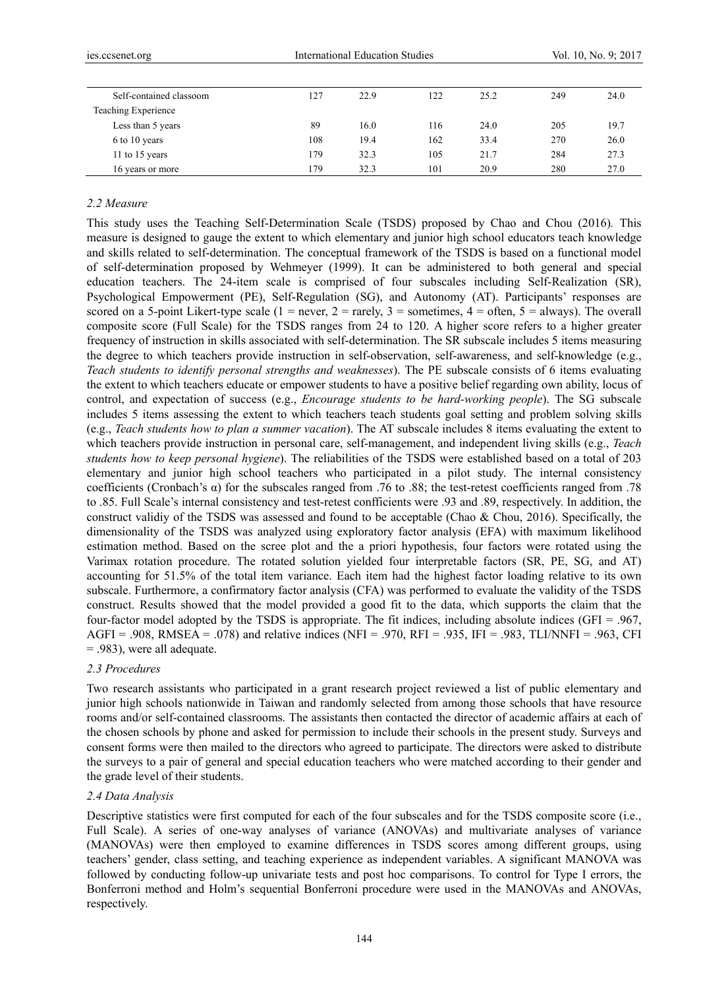| Self-contained classoom | 127 | 22.9 | 122 | 25.2 | 249 | 24.0 |
|-------------------------|-----|------|-----|------|-----|------|
| Teaching Experience     |     |      |     |      |     |      |
| Less than 5 years       | 89  | 16.0 | 116 | 24.0 | 205 | 19.7 |
| 6 to 10 years           | 108 | 19.4 | 162 | 33.4 | 270 | 26.0 |
| 11 to 15 years          | 179 | 32.3 | 105 | 21.7 | 284 | 27.3 |
| 16 years or more        | 179 | 32.3 | 101 | 20.9 | 280 | 27.0 |

#### *2.2 Measure*

This study uses the Teaching Self-Determination Scale (TSDS) proposed by Chao and Chou (2016)*.* This measure is designed to gauge the extent to which elementary and junior high school educators teach knowledge and skills related to self-determination. The conceptual framework of the TSDS is based on a functional model of self-determination proposed by Wehmeyer (1999). It can be administered to both general and special education teachers. The 24-item scale is comprised of four subscales including Self-Realization (SR), Psychological Empowerment (PE), Self-Regulation (SG), and Autonomy (AT). Participants' responses are scored on a 5-point Likert-type scale (1 = never, 2 = rarely, 3 = sometimes, 4 = often, 5 = always). The overall composite score (Full Scale) for the TSDS ranges from 24 to 120. A higher score refers to a higher greater frequency of instruction in skills associated with self-determination. The SR subscale includes 5 items measuring the degree to which teachers provide instruction in self-observation, self-awareness, and self-knowledge (e.g., *Teach students to identify personal strengths and weaknesses*). The PE subscale consists of 6 items evaluating the extent to which teachers educate or empower students to have a positive belief regarding own ability, locus of control, and expectation of success (e.g., *Encourage students to be hard-working people*). The SG subscale includes 5 items assessing the extent to which teachers teach students goal setting and problem solving skills (e.g., *Teach students how to plan a summer vacation*). The AT subscale includes 8 items evaluating the extent to which teachers provide instruction in personal care, self-management, and independent living skills (e.g., *Teach students how to keep personal hygiene*). The reliabilities of the TSDS were established based on a total of 203 elementary and junior high school teachers who participated in a pilot study. The internal consistency coefficients (Cronbach's α) for the subscales ranged from .76 to .88; the test-retest coefficients ranged from .78 to .85. Full Scale's internal consistency and test-retest confficients were .93 and .89, respectively. In addition, the construct validiy of the TSDS was assessed and found to be acceptable (Chao & Chou, 2016). Specifically, the dimensionality of the TSDS was analyzed using exploratory factor analysis (EFA) with maximum likelihood estimation method. Based on the scree plot and the a priori hypothesis, four factors were rotated using the Varimax rotation procedure. The rotated solution yielded four interpretable factors (SR, PE, SG, and AT) accounting for 51.5% of the total item variance. Each item had the highest factor loading relative to its own subscale. Furthermore, a confirmatory factor analysis (CFA) was performed to evaluate the validity of the TSDS construct. Results showed that the model provided a good fit to the data, which supports the claim that the four-factor model adopted by the TSDS is appropriate. The fit indices, including absolute indices (GFI = .967, AGFI = .908, RMSEA = .078) and relative indices (NFI = .970, RFI = .935, IFI = .983, TLI/NNFI = .963, CFI = .983), were all adequate.

#### *2.3 Procedures*

Two research assistants who participated in a grant research project reviewed a list of public elementary and junior high schools nationwide in Taiwan and randomly selected from among those schools that have resource rooms and/or self-contained classrooms. The assistants then contacted the director of academic affairs at each of the chosen schools by phone and asked for permission to include their schools in the present study. Surveys and consent forms were then mailed to the directors who agreed to participate. The directors were asked to distribute the surveys to a pair of general and special education teachers who were matched according to their gender and the grade level of their students.

#### *2.4 Data Analysis*

Descriptive statistics were first computed for each of the four subscales and for the TSDS composite score (i.e., Full Scale). A series of one-way analyses of variance (ANOVAs) and multivariate analyses of variance (MANOVAs) were then employed to examine differences in TSDS scores among different groups, using teachers' gender, class setting, and teaching experience as independent variables. A significant MANOVA was followed by conducting follow-up univariate tests and post hoc comparisons. To control for Type I errors, the Bonferroni method and Holm's sequential Bonferroni procedure were used in the MANOVAs and ANOVAs, respectively.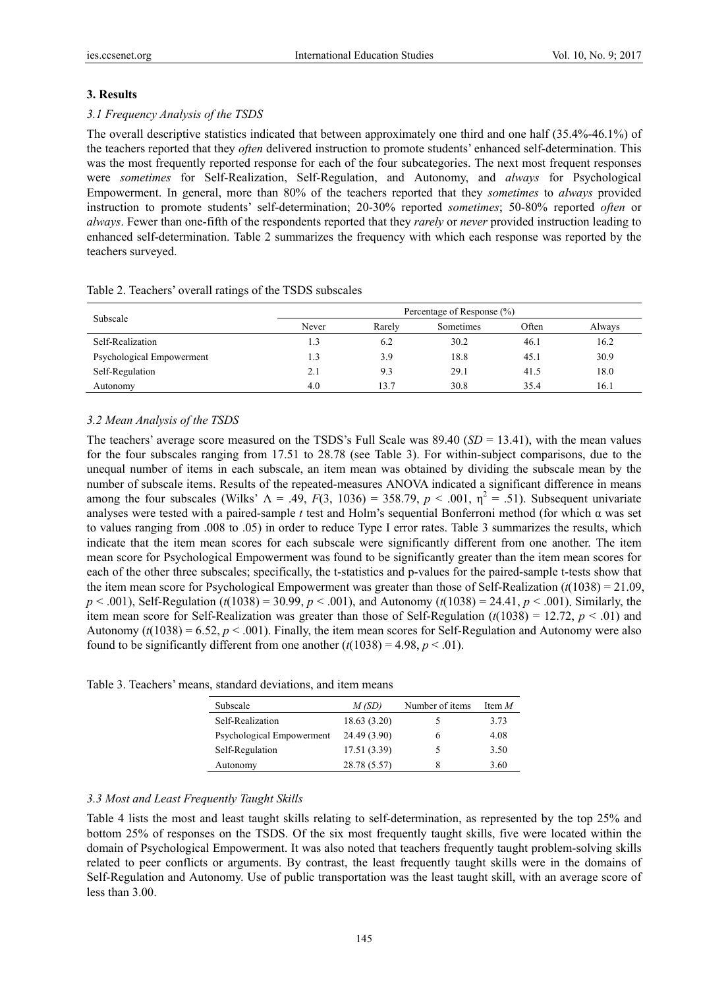## **3. Results**

## *3.1 Frequency Analysis of the TSDS*

The overall descriptive statistics indicated that between approximately one third and one half (35.4%-46.1%) of the teachers reported that they *often* delivered instruction to promote students' enhanced self-determination. This was the most frequently reported response for each of the four subcategories. The next most frequent responses were *sometimes* for Self-Realization, Self-Regulation, and Autonomy, and *always* for Psychological Empowerment. In general, more than 80% of the teachers reported that they *sometimes* to *always* provided instruction to promote students' self-determination; 20-30% reported *sometimes*; 50-80% reported *often* or *always*. Fewer than one-fifth of the respondents reported that they *rarely* or *never* provided instruction leading to enhanced self-determination. Table 2 summarizes the frequency with which each response was reported by the teachers surveyed.

|                           | Percentage of Response (%) |        |           |       |        |  |  |  |
|---------------------------|----------------------------|--------|-----------|-------|--------|--|--|--|
| Subscale                  | Never                      | Rarely | Sometimes | Often | Always |  |  |  |
| Self-Realization          |                            | 6.2    | 30.2      | 46.1  | 16.2   |  |  |  |
| Psychological Empowerment | 1.3                        | 3.9    | 18.8      | 45.1  | 30.9   |  |  |  |
| Self-Regulation           | 2.1                        | 9.3    | 29.1      | 41.5  | 18.0   |  |  |  |
| Autonomy                  | 4.0                        | 13.7   | 30.8      | 35.4  | 16.1   |  |  |  |

## Table 2. Teachers' overall ratings of the TSDS subscales

### *3.2 Mean Analysis of the TSDS*

The teachers' average score measured on the TSDS's Full Scale was 89.40 (*SD* = 13.41), with the mean values for the four subscales ranging from 17.51 to 28.78 (see Table 3). For within-subject comparisons, due to the unequal number of items in each subscale, an item mean was obtained by dividing the subscale mean by the number of subscale items. Results of the repeated-measures ANOVA indicated a significant difference in means among the four subscales (Wilks'  $\Lambda = .49$ ,  $F(3, 1036) = 358.79$ ,  $p < .001$ ,  $\eta^2 = .51$ ). Subsequent univariate analyses were tested with a paired-sample *t* test and Holm's sequential Bonferroni method (for which α was set to values ranging from .008 to .05) in order to reduce Type I error rates. Table 3 summarizes the results, which indicate that the item mean scores for each subscale were significantly different from one another. The item mean score for Psychological Empowerment was found to be significantly greater than the item mean scores for each of the other three subscales; specifically, the t-statistics and p-values for the paired-sample t-tests show that the item mean score for Psychological Empowerment was greater than those of Self-Realization (*t*(1038) = 21.09, *p* < .001), Self-Regulation (*t*(1038) = 30.99, *p* < .001), and Autonomy (*t*(1038) = 24.41, *p* < .001). Similarly, the item mean score for Self-Realization was greater than those of Self-Regulation  $(t(1038) = 12.72, p < .01)$  and Autonomy ( $t(1038) = 6.52$ ,  $p < .001$ ). Finally, the item mean scores for Self-Regulation and Autonomy were also found to be significantly different from one another  $(t(1038) = 4.98, p < .01)$ .

|  |  | Table 3. Teachers' means, standard deviations, and item means |
|--|--|---------------------------------------------------------------|
|  |  |                                                               |

| Subscale                  | M (SD)       | Number of items | Item $M$ |
|---------------------------|--------------|-----------------|----------|
| Self-Realization          | 18.63 (3.20) |                 | 3.73     |
| Psychological Empowerment | 24.49 (3.90) | h               | 4.08     |
| Self-Regulation           | 17.51 (3.39) |                 | 3.50     |
| Autonomy                  | 28.78 (5.57) |                 | 3.60     |

## *3.3 Most and Least Frequently Taught Skills*

Table 4 lists the most and least taught skills relating to self-determination, as represented by the top 25% and bottom 25% of responses on the TSDS. Of the six most frequently taught skills, five were located within the domain of Psychological Empowerment. It was also noted that teachers frequently taught problem-solving skills related to peer conflicts or arguments. By contrast, the least frequently taught skills were in the domains of Self-Regulation and Autonomy. Use of public transportation was the least taught skill, with an average score of less than 3.00.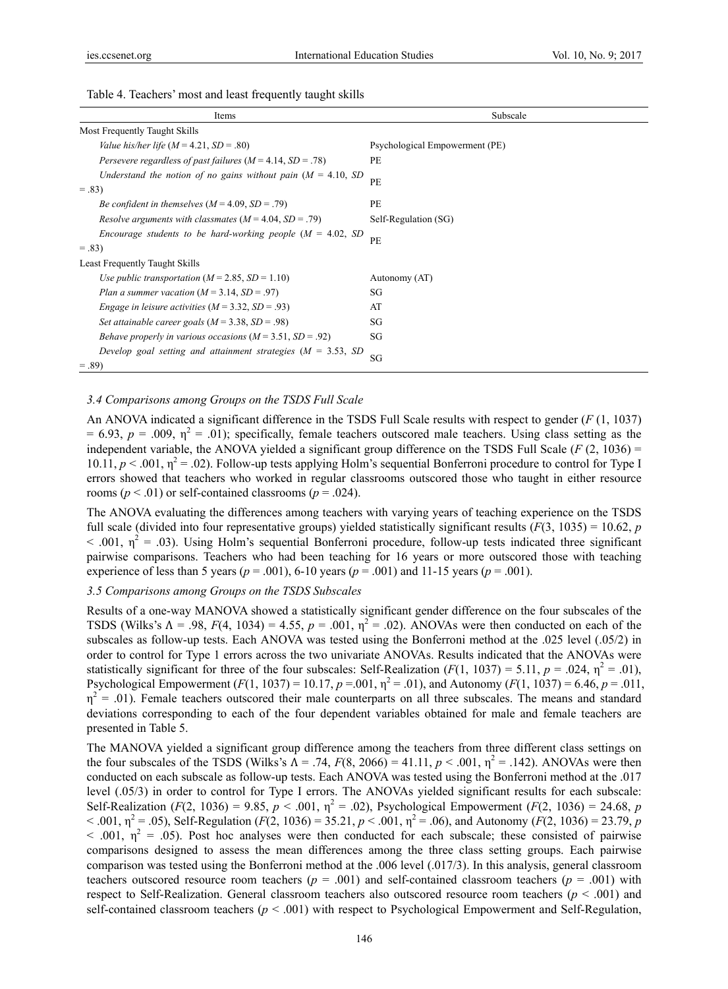| Items                                                             | Subscale                       |
|-------------------------------------------------------------------|--------------------------------|
| Most Frequently Taught Skills                                     |                                |
| Value his/her life $(M = 4.21, SD = .80)$                         | Psychological Empowerment (PE) |
| Persevere regardless of past failures ( $M = 4.14$ , $SD = .78$ ) | PE                             |
| Understand the notion of no gains without pain $(M = 4.10, SD)$   | PE                             |
| $=.83)$                                                           |                                |
| Be confident in themselves $(M = 4.09, SD = .79)$                 | PE                             |
| Resolve arguments with classmates $(M = 4.04, SD = .79)$          | Self-Regulation (SG)           |
| Encourage students to be hard-working people ( $M = 4.02$ , SD    | <b>PE</b>                      |
| $=.83)$                                                           |                                |
| <b>Least Frequently Taught Skills</b>                             |                                |
| Use public transportation ( $M = 2.85$ , $SD = 1.10$ )            | Autonomy (AT)                  |
| Plan a summer vacation ( $M = 3.14$ , $SD = .97$ )                | SG                             |
| <i>Engage in leisure activities</i> $(M = 3.32, SD = .93)$        | AT                             |
| Set attainable career goals ( $M = 3.38$ , $SD = .98$ )           | SG                             |
| Behave properly in various occasions $(M = 3.51, SD = .92)$       | SG                             |
| Develop goal setting and attainment strategies ( $M = 3.53$ , SD  | SG                             |
| $=.89$                                                            |                                |

Table 4. Teachers' most and least frequently taught skills

#### *3.4 Comparisons among Groups on the TSDS Full Scale*

An ANOVA indicated a significant difference in the TSDS Full Scale results with respect to gender (*F* (1, 1037)  $= 6.93$ ,  $p = .009$ ,  $\eta^2 = .01$ ); specifically, female teachers outscored male teachers. Using class setting as the independent variable, the ANOVA yielded a significant group difference on the TSDS Full Scale  $(F(2, 1036) =$ 10.11,  $p < .001$ ,  $\eta^2 = .02$ ). Follow-up tests applying Holm's sequential Bonferroni procedure to control for Type I errors showed that teachers who worked in regular classrooms outscored those who taught in either resource rooms ( $p < .01$ ) or self-contained classrooms ( $p = .024$ ).

The ANOVA evaluating the differences among teachers with varying years of teaching experience on the TSDS full scale (divided into four representative groups) yielded statistically significant results  $(F(3, 1035) = 10.62, p$  $<$  .001,  $\eta^2$  = .03). Using Holm's sequential Bonferroni procedure, follow-up tests indicated three significant pairwise comparisons. Teachers who had been teaching for 16 years or more outscored those with teaching experience of less than 5 years ( $p = .001$ ), 6-10 years ( $p = .001$ ) and 11-15 years ( $p = .001$ ).

## *3.5 Comparisons among Groups on the TSDS Subscales*

Results of a one-way MANOVA showed a statistically significant gender difference on the four subscales of the TSDS (Wilks's  $\Lambda = .98$ ,  $F(4, 1034) = 4.55$ ,  $p = .001$ ,  $\eta^2 = .02$ ). ANOVAs were then conducted on each of the subscales as follow-up tests. Each ANOVA was tested using the Bonferroni method at the .025 level (.05/2) in order to control for Type 1 errors across the two univariate ANOVAs. Results indicated that the ANOVAs were statistically significant for three of the four subscales: Self-Realization  $(F(1, 1037) = 5.11, p = .024, \eta^2 = .01)$ , Psychological Empowerment  $(F(1, 1037) = 10.17, p = .001, \eta^2 = .01)$ , and Autonomy  $(F(1, 1037) = 6.46, p = .011,$  $\eta^2$  = .01). Female teachers outscored their male counterparts on all three subscales. The means and standard deviations corresponding to each of the four dependent variables obtained for male and female teachers are presented in Table 5.

The MANOVA yielded a significant group difference among the teachers from three different class settings on the four subscales of the TSDS (Wilks's  $\Lambda = .74$ ,  $F(8, 2066) = 41.11$ ,  $p < .001$ ,  $\eta^2 = .142$ ). ANOVAs were then conducted on each subscale as follow-up tests. Each ANOVA was tested using the Bonferroni method at the .017 level (.05/3) in order to control for Type I errors. The ANOVAs yielded significant results for each subscale: Self-Realization ( $F(2, 1036) = 9.85$ ,  $p < .001$ ,  $\eta^2 = .02$ ), Psychological Empowerment ( $F(2, 1036) = 24.68$ , *p*  $<$  0.01,  $\eta^2$  = 0.05), Self-Regulation (*F*(2, 1036) = 35.21, *p* < 0.01,  $\eta^2$  = 0.06), and Autonomy (*F*(2, 1036) = 23.79, *p*  $<$  .001,  $\eta^2$  = .05). Post hoc analyses were then conducted for each subscale; these consisted of pairwise comparisons designed to assess the mean differences among the three class setting groups. Each pairwise comparison was tested using the Bonferroni method at the .006 level (.017/3). In this analysis, general classroom teachers outscored resource room teachers ( $p = .001$ ) and self-contained classroom teachers ( $p = .001$ ) with respect to Self-Realization. General classroom teachers also outscored resource room teachers (*p* < .001) and self-contained classroom teachers ( $p < .001$ ) with respect to Psychological Empowerment and Self-Regulation,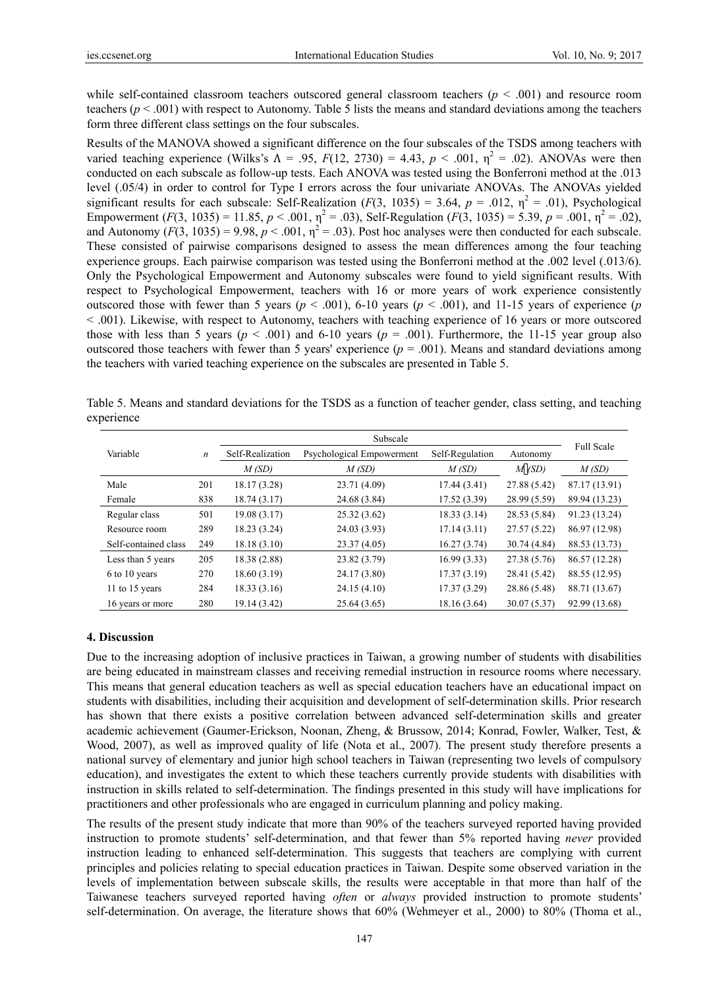while self-contained classroom teachers outscored general classroom teachers ( $p < .001$ ) and resource room teachers ( $p < .001$ ) with respect to Autonomy. Table 5 lists the means and standard deviations among the teachers form three different class settings on the four subscales.

Results of the MANOVA showed a significant difference on the four subscales of the TSDS among teachers with varied teaching experience (Wilks's  $\Lambda = .95$ ,  $F(12, 2730) = 4.43$ ,  $p < .001$ ,  $\eta^2 = .02$ ). ANOVAs were then conducted on each subscale as follow-up tests. Each ANOVA was tested using the Bonferroni method at the .013 level (.05/4) in order to control for Type I errors across the four univariate ANOVAs. The ANOVAs yielded significant results for each subscale: Self-Realization  $(F(3, 1035) = 3.64, p = .012, \eta^2 = .01)$ , Psychological Empowerment  $(F(3, 1035) = 11.85, p < .001, \eta^2 = .03)$ , Self-Regulation  $(F(3, 1035) = 5.39, p = .001, \eta^2 = .02)$ , and Autonomy  $(F(3, 1035) = 9.98, p < .001, \eta^2 = .03)$ . Post hoc analyses were then conducted for each subscale. These consisted of pairwise comparisons designed to assess the mean differences among the four teaching experience groups. Each pairwise comparison was tested using the Bonferroni method at the .002 level (.013/6). Only the Psychological Empowerment and Autonomy subscales were found to yield significant results. With respect to Psychological Empowerment, teachers with 16 or more years of work experience consistently outscored those with fewer than 5 years ( $p < .001$ ), 6-10 years ( $p < .001$ ), and 11-15 years of experience (*p* < .001). Likewise, with respect to Autonomy, teachers with teaching experience of 16 years or more outscored those with less than 5 years ( $p < .001$ ) and 6-10 years ( $p = .001$ ). Furthermore, the 11-15 year group also outscored those teachers with fewer than 5 years' experience  $(p = .001)$ . Means and standard deviations among the teachers with varied teaching experience on the subscales are presented in Table 5.

| Table 5. Means and standard deviations for the TSDS as a function of teacher gender, class setting, and teaching |  |  |  |  |  |  |
|------------------------------------------------------------------------------------------------------------------|--|--|--|--|--|--|
| experience                                                                                                       |  |  |  |  |  |  |

|                      |                  |                  | <b>Full Scale</b>         |                 |              |               |
|----------------------|------------------|------------------|---------------------------|-----------------|--------------|---------------|
| Variable             | $\boldsymbol{n}$ | Self-Realization | Psychological Empowerment | Self-Regulation | Autonomy     |               |
|                      |                  | M(SD)            | M(SD)                     | M(SD)           | M(SD)        | M(SD)         |
| Male                 | 201              | 18.17 (3.28)     | 23.71 (4.09)              | 17.44(3.41)     | 27.88 (5.42) | 87.17 (13.91) |
| Female               | 838              | 18.74(3.17)      | 24.68 (3.84)              | 17.52(3.39)     | 28.99 (5.59) | 89.94 (13.23) |
| Regular class        | 501              | 19.08(3.17)      | 25.32(3.62)               | 18.33(3.14)     | 28.53 (5.84) | 91.23 (13.24) |
| Resource room        | 289              | 18.23 (3.24)     | 24.03 (3.93)              | 17.14(3.11)     | 27.57(5.22)  | 86.97 (12.98) |
| Self-contained class | 249              | 18.18(3.10)      | 23.37(4.05)               | 16.27(3.74)     | 30.74 (4.84) | 88.53 (13.73) |
| Less than 5 years    | 205              | 18.38 (2.88)     | 23.82(3.79)               | 16.99(3.33)     | 27.38(5.76)  | 86.57 (12.28) |
| 6 to 10 years        | 270              | 18.60(3.19)      | 24.17 (3.80)              | 17.37(3.19)     | 28.41 (5.42) | 88.55 (12.95) |
| 11 to 15 years       | 284              | 18.33(3.16)      | 24.15(4.10)               | 17.37(3.29)     | 28.86 (5.48) | 88.71 (13.67) |
| 16 years or more     | 280              | 19.14 (3.42)     | 25.64 (3.65)              | 18.16(3.64)     | 30.07 (5.37) | 92.99 (13.68) |

#### **4. Discussion**

Due to the increasing adoption of inclusive practices in Taiwan, a growing number of students with disabilities are being educated in mainstream classes and receiving remedial instruction in resource rooms where necessary. This means that general education teachers as well as special education teachers have an educational impact on students with disabilities, including their acquisition and development of self-determination skills. Prior research has shown that there exists a positive correlation between advanced self-determination skills and greater academic achievement (Gaumer-Erickson, Noonan, Zheng, & Brussow, 2014; Konrad, Fowler, Walker, Test, & Wood, 2007), as well as improved quality of life (Nota et al., 2007). The present study therefore presents a national survey of elementary and junior high school teachers in Taiwan (representing two levels of compulsory education), and investigates the extent to which these teachers currently provide students with disabilities with instruction in skills related to self-determination. The findings presented in this study will have implications for practitioners and other professionals who are engaged in curriculum planning and policy making.

The results of the present study indicate that more than 90% of the teachers surveyed reported having provided instruction to promote students' self-determination, and that fewer than 5% reported having *never* provided instruction leading to enhanced self-determination. This suggests that teachers are complying with current principles and policies relating to special education practices in Taiwan. Despite some observed variation in the levels of implementation between subscale skills, the results were acceptable in that more than half of the Taiwanese teachers surveyed reported having *often* or *always* provided instruction to promote students' self-determination. On average, the literature shows that 60% (Wehmeyer et al., 2000) to 80% (Thoma et al.,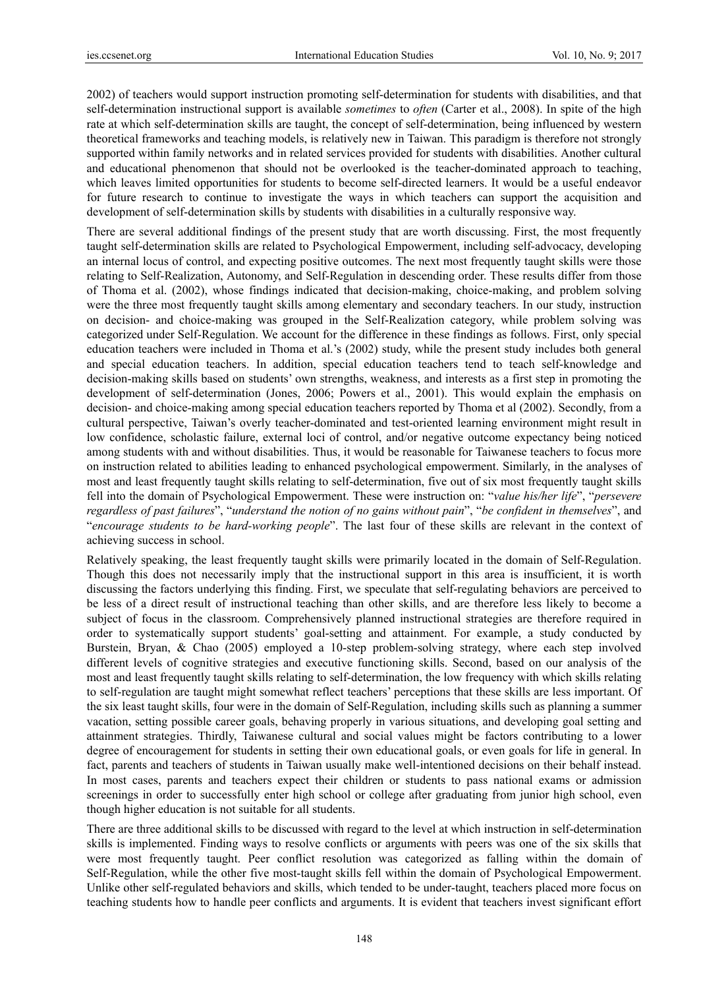2002) of teachers would support instruction promoting self-determination for students with disabilities, and that self-determination instructional support is available *sometimes* to *often* (Carter et al., 2008). In spite of the high rate at which self-determination skills are taught, the concept of self-determination, being influenced by western theoretical frameworks and teaching models, is relatively new in Taiwan. This paradigm is therefore not strongly supported within family networks and in related services provided for students with disabilities. Another cultural and educational phenomenon that should not be overlooked is the teacher-dominated approach to teaching, which leaves limited opportunities for students to become self-directed learners. It would be a useful endeavor for future research to continue to investigate the ways in which teachers can support the acquisition and development of self-determination skills by students with disabilities in a culturally responsive way.

There are several additional findings of the present study that are worth discussing. First, the most frequently taught self-determination skills are related to Psychological Empowerment, including self-advocacy, developing an internal locus of control, and expecting positive outcomes. The next most frequently taught skills were those relating to Self-Realization, Autonomy, and Self-Regulation in descending order. These results differ from those of Thoma et al. (2002), whose findings indicated that decision-making, choice-making, and problem solving were the three most frequently taught skills among elementary and secondary teachers. In our study, instruction on decision- and choice-making was grouped in the Self-Realization category, while problem solving was categorized under Self-Regulation. We account for the difference in these findings as follows. First, only special education teachers were included in Thoma et al.'s (2002) study, while the present study includes both general and special education teachers. In addition, special education teachers tend to teach self-knowledge and decision-making skills based on students' own strengths, weakness, and interests as a first step in promoting the development of self-determination (Jones, 2006; Powers et al., 2001). This would explain the emphasis on decision- and choice-making among special education teachers reported by Thoma et al (2002). Secondly, from a cultural perspective, Taiwan's overly teacher-dominated and test-oriented learning environment might result in low confidence, scholastic failure, external loci of control, and/or negative outcome expectancy being noticed among students with and without disabilities. Thus, it would be reasonable for Taiwanese teachers to focus more on instruction related to abilities leading to enhanced psychological empowerment. Similarly, in the analyses of most and least frequently taught skills relating to self-determination, five out of six most frequently taught skills fell into the domain of Psychological Empowerment. These were instruction on: "*value his/her life*", "*persevere regardless of past failures*", "*understand the notion of no gains without pain*", "*be confident in themselves*", and "*encourage students to be hard-working people*". The last four of these skills are relevant in the context of achieving success in school.

Relatively speaking, the least frequently taught skills were primarily located in the domain of Self-Regulation. Though this does not necessarily imply that the instructional support in this area is insufficient, it is worth discussing the factors underlying this finding. First, we speculate that self-regulating behaviors are perceived to be less of a direct result of instructional teaching than other skills, and are therefore less likely to become a subject of focus in the classroom. Comprehensively planned instructional strategies are therefore required in order to systematically support students' goal-setting and attainment. For example, a study conducted by Burstein, Bryan, & Chao (2005) employed a 10-step problem-solving strategy, where each step involved different levels of cognitive strategies and executive functioning skills. Second, based on our analysis of the most and least frequently taught skills relating to self-determination, the low frequency with which skills relating to self-regulation are taught might somewhat reflect teachers' perceptions that these skills are less important. Of the six least taught skills, four were in the domain of Self-Regulation, including skills such as planning a summer vacation, setting possible career goals, behaving properly in various situations, and developing goal setting and attainment strategies. Thirdly, Taiwanese cultural and social values might be factors contributing to a lower degree of encouragement for students in setting their own educational goals, or even goals for life in general. In fact, parents and teachers of students in Taiwan usually make well-intentioned decisions on their behalf instead. In most cases, parents and teachers expect their children or students to pass national exams or admission screenings in order to successfully enter high school or college after graduating from junior high school, even though higher education is not suitable for all students.

There are three additional skills to be discussed with regard to the level at which instruction in self-determination skills is implemented. Finding ways to resolve conflicts or arguments with peers was one of the six skills that were most frequently taught. Peer conflict resolution was categorized as falling within the domain of Self-Regulation, while the other five most-taught skills fell within the domain of Psychological Empowerment. Unlike other self-regulated behaviors and skills, which tended to be under-taught, teachers placed more focus on teaching students how to handle peer conflicts and arguments. It is evident that teachers invest significant effort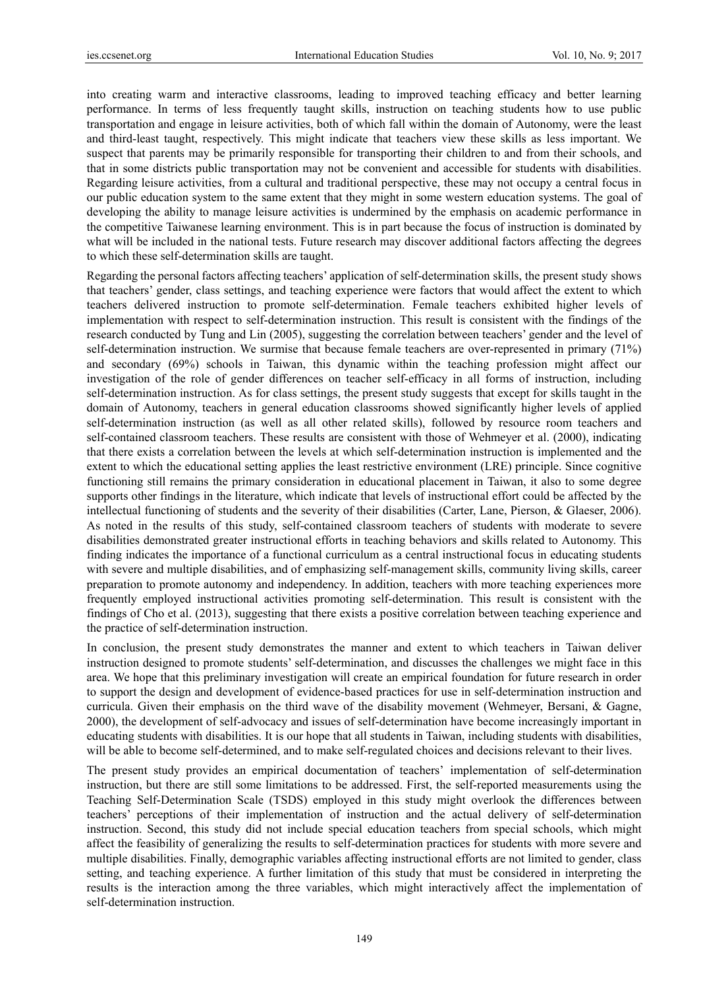into creating warm and interactive classrooms, leading to improved teaching efficacy and better learning performance. In terms of less frequently taught skills, instruction on teaching students how to use public transportation and engage in leisure activities, both of which fall within the domain of Autonomy, were the least and third-least taught, respectively. This might indicate that teachers view these skills as less important. We suspect that parents may be primarily responsible for transporting their children to and from their schools, and that in some districts public transportation may not be convenient and accessible for students with disabilities. Regarding leisure activities, from a cultural and traditional perspective, these may not occupy a central focus in our public education system to the same extent that they might in some western education systems. The goal of developing the ability to manage leisure activities is undermined by the emphasis on academic performance in the competitive Taiwanese learning environment. This is in part because the focus of instruction is dominated by what will be included in the national tests. Future research may discover additional factors affecting the degrees to which these self-determination skills are taught.

Regarding the personal factors affecting teachers' application of self-determination skills, the present study shows that teachers' gender, class settings, and teaching experience were factors that would affect the extent to which teachers delivered instruction to promote self-determination. Female teachers exhibited higher levels of implementation with respect to self-determination instruction. This result is consistent with the findings of the research conducted by Tung and Lin (2005), suggesting the correlation between teachers' gender and the level of self-determination instruction. We surmise that because female teachers are over-represented in primary (71%) and secondary (69%) schools in Taiwan, this dynamic within the teaching profession might affect our investigation of the role of gender differences on teacher self-efficacy in all forms of instruction, including self-determination instruction. As for class settings, the present study suggests that except for skills taught in the domain of Autonomy, teachers in general education classrooms showed significantly higher levels of applied self-determination instruction (as well as all other related skills), followed by resource room teachers and self-contained classroom teachers. These results are consistent with those of Wehmeyer et al. (2000), indicating that there exists a correlation between the levels at which self-determination instruction is implemented and the extent to which the educational setting applies the least restrictive environment (LRE) principle. Since cognitive functioning still remains the primary consideration in educational placement in Taiwan, it also to some degree supports other findings in the literature, which indicate that levels of instructional effort could be affected by the intellectual functioning of students and the severity of their disabilities (Carter, Lane, Pierson, & Glaeser, 2006). As noted in the results of this study, self-contained classroom teachers of students with moderate to severe disabilities demonstrated greater instructional efforts in teaching behaviors and skills related to Autonomy. This finding indicates the importance of a functional curriculum as a central instructional focus in educating students with severe and multiple disabilities, and of emphasizing self-management skills, community living skills, career preparation to promote autonomy and independency. In addition, teachers with more teaching experiences more frequently employed instructional activities promoting self-determination. This result is consistent with the findings of Cho et al. (2013), suggesting that there exists a positive correlation between teaching experience and the practice of self-determination instruction.

In conclusion, the present study demonstrates the manner and extent to which teachers in Taiwan deliver instruction designed to promote students' self-determination, and discusses the challenges we might face in this area. We hope that this preliminary investigation will create an empirical foundation for future research in order to support the design and development of evidence-based practices for use in self-determination instruction and curricula. Given their emphasis on the third wave of the disability movement (Wehmeyer, Bersani, & Gagne, 2000), the development of self-advocacy and issues of self-determination have become increasingly important in educating students with disabilities. It is our hope that all students in Taiwan, including students with disabilities, will be able to become self-determined, and to make self-regulated choices and decisions relevant to their lives.

The present study provides an empirical documentation of teachers' implementation of self-determination instruction, but there are still some limitations to be addressed. First, the self-reported measurements using the Teaching Self-Determination Scale (TSDS) employed in this study might overlook the differences between teachers' perceptions of their implementation of instruction and the actual delivery of self-determination instruction. Second, this study did not include special education teachers from special schools, which might affect the feasibility of generalizing the results to self-determination practices for students with more severe and multiple disabilities. Finally, demographic variables affecting instructional efforts are not limited to gender, class setting, and teaching experience. A further limitation of this study that must be considered in interpreting the results is the interaction among the three variables, which might interactively affect the implementation of self-determination instruction.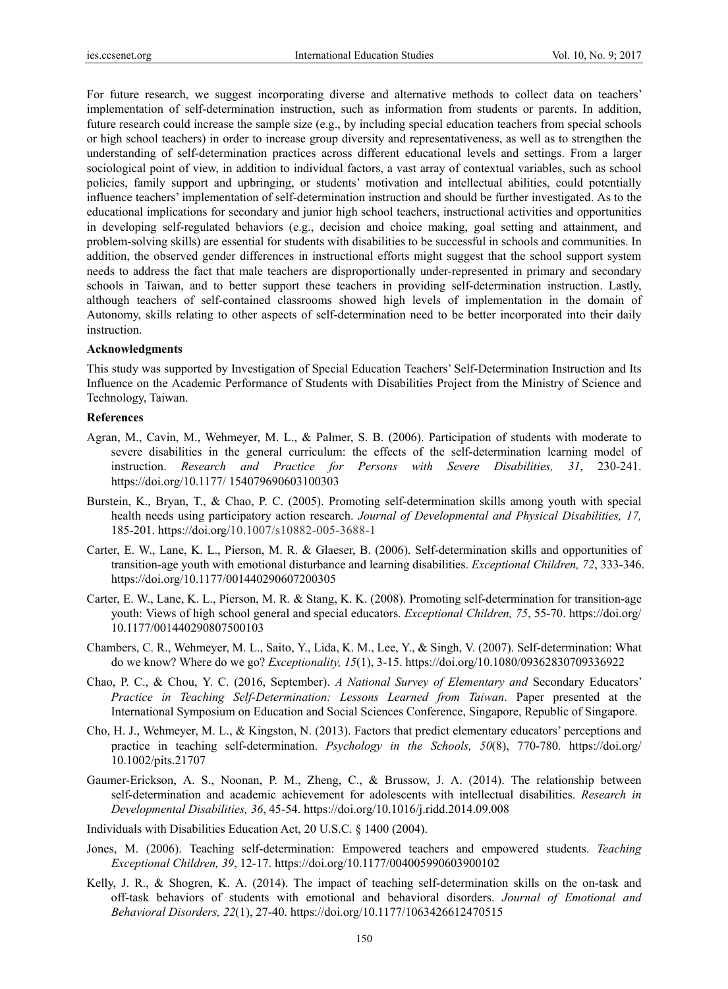For future research, we suggest incorporating diverse and alternative methods to collect data on teachers' implementation of self-determination instruction, such as information from students or parents. In addition, future research could increase the sample size (e.g., by including special education teachers from special schools or high school teachers) in order to increase group diversity and representativeness, as well as to strengthen the understanding of self-determination practices across different educational levels and settings. From a larger sociological point of view, in addition to individual factors, a vast array of contextual variables, such as school policies, family support and upbringing, or students' motivation and intellectual abilities, could potentially influence teachers' implementation of self-determination instruction and should be further investigated. As to the educational implications for secondary and junior high school teachers, instructional activities and opportunities in developing self-regulated behaviors (e.g., decision and choice making, goal setting and attainment, and problem-solving skills) are essential for students with disabilities to be successful in schools and communities. In addition, the observed gender differences in instructional efforts might suggest that the school support system needs to address the fact that male teachers are disproportionally under-represented in primary and secondary schools in Taiwan, and to better support these teachers in providing self-determination instruction. Lastly, although teachers of self-contained classrooms showed high levels of implementation in the domain of Autonomy, skills relating to other aspects of self-determination need to be better incorporated into their daily instruction.

#### **Acknowledgments**

This study was supported by Investigation of Special Education Teachers' Self-Determination Instruction and Its Influence on the Academic Performance of Students with Disabilities Project from the Ministry of Science and Technology, Taiwan.

#### **References**

- Agran, M., Cavin, M., Wehmeyer, M. L., & Palmer, S. B. (2006). Participation of students with moderate to severe disabilities in the general curriculum: the effects of the self-determination learning model of instruction. *Research and Practice for Persons with Severe Disabilities, 31*, 230-241. https://doi.org/10.1177/ 154079690603100303
- Burstein, K., Bryan, T., & Chao, P. C. (2005). Promoting self-determination skills among youth with special health needs using participatory action research. *Journal of Developmental and Physical Disabilities, 17,* 185-201. https://doi.org/10.1007/s10882-005-3688-1
- Carter, E. W., Lane, K. L., Pierson, M. R. & Glaeser, B. (2006). Self-determination skills and opportunities of transition-age youth with emotional disturbance and learning disabilities. *Exceptional Children, 72*, 333-346. https://doi.org/10.1177/001440290607200305
- Carter, E. W., Lane, K. L., Pierson, M. R. & Stang, K. K. (2008). Promoting self-determination for transition-age youth: Views of high school general and special educators. *Exceptional Children, 75*, 55-70. https://doi.org/ 10.1177/001440290807500103
- Chambers, C. R., Wehmeyer, M. L., Saito, Y., Lida, K. M., Lee, Y., & Singh, V. (2007). Self-determination: What do we know? Where do we go? *Exceptionality, 15*(1), 3-15. https://doi.org/10.1080/09362830709336922
- Chao, P. C., & Chou, Y. C. (2016, September). *A National Survey of Elementary and* Secondary Educators' *Practice in Teaching Self-Determination: Lessons Learned from Taiwan*. Paper presented at the International Symposium on Education and Social Sciences Conference, Singapore, Republic of Singapore.
- Cho, H. J., Wehmeyer, M. L., & Kingston, N. (2013). Factors that predict elementary educators' perceptions and practice in teaching self-determination. *Psychology in the Schools, 50*(8), 770-780. https://doi.org/ 10.1002/pits.21707
- Gaumer-Erickson, A. S., Noonan, P. M., Zheng, C., & Brussow, J. A. (2014). The relationship between self-determination and academic achievement for adolescents with intellectual disabilities. *Research in Developmental Disabilities, 36*, 45-54. https://doi.org/10.1016/j.ridd.2014.09.008
- Individuals with Disabilities Education Act, 20 U.S.C. § 1400 (2004).
- Jones, M. (2006). Teaching self-determination: Empowered teachers and empowered students. *Teaching Exceptional Children, 39*, 12-17. https://doi.org/10.1177/004005990603900102
- Kelly, J. R., & Shogren, K. A. (2014). The impact of teaching self-determination skills on the on-task and off-task behaviors of students with emotional and behavioral disorders. *Journal of Emotional and Behavioral Disorders, 22*(1), 27-40. https://doi.org/10.1177/1063426612470515